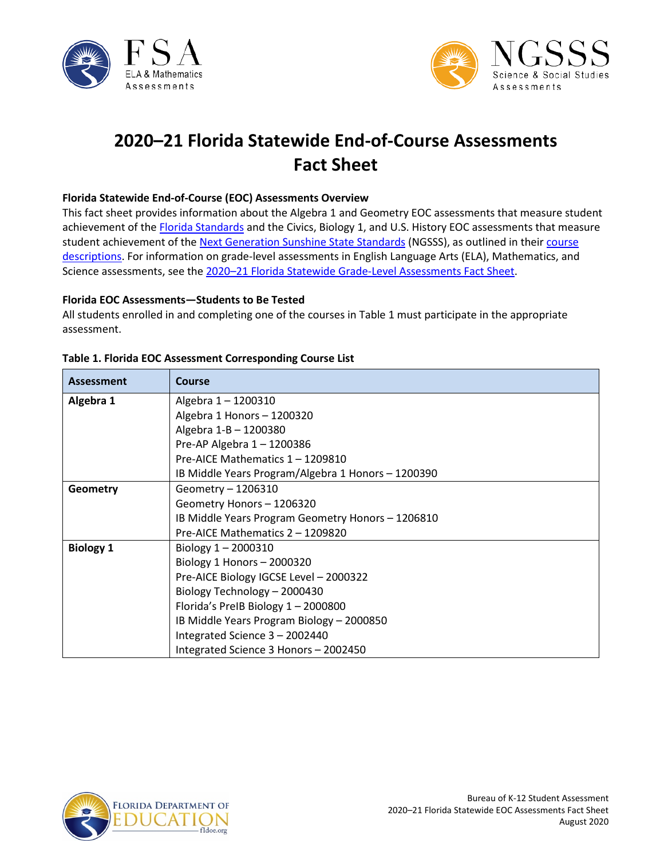



# **2020–21 Florida Statewide End-of-Course Assessments Fact Sheet**

#### **Florida Statewide End-of-Course (EOC) Assessments Overview**

This fact sheet provides information about the Algebra 1 and Geometry EOC assessments that measure student achievement of the [Florida Standards](http://www.cpalms.org/Public/) and the Civics, Biology 1, and U.S. History EOC assessments that measure student achievement of the [Next Generation Sunshine State Standards](http://www.floridastandards.org/index.aspx) (NGSSS), as outlined in their course [descriptions.](http://www.cpalms.org/Public/search/Course#0) For information on grade-level assessments in English Language Arts (ELA), Mathematics, and Science assessments, see the [2020–21 Florida Statewide Grade-Level Assessments Fact Sheet.](http://www.fldoe.org/core/fileparse.php/5663/urlt/Grade-LevelFS2021.pdf)

#### **Florida EOC Assessments—Students to Be Tested**

All students enrolled in and completing one of the courses in Table 1 must participate in the appropriate assessment.

| Assessment       | <b>Course</b>                                      |
|------------------|----------------------------------------------------|
| Algebra 1        | Algebra 1 - 1200310                                |
|                  | Algebra 1 Honors - 1200320                         |
|                  | Algebra 1-B - 1200380                              |
|                  | Pre-AP Algebra 1-1200386                           |
|                  | Pre-AICE Mathematics 1 - 1209810                   |
|                  | IB Middle Years Program/Algebra 1 Honors - 1200390 |
| Geometry         | Geometry - 1206310                                 |
|                  | Geometry Honors - 1206320                          |
|                  | IB Middle Years Program Geometry Honors - 1206810  |
|                  | Pre-AICE Mathematics 2 - 1209820                   |
| <b>Biology 1</b> | Biology $1 - 2000310$                              |
|                  | Biology 1 Honors - 2000320                         |
|                  | Pre-AICE Biology IGCSE Level - 2000322             |
|                  | Biology Technology - 2000430                       |
|                  | Florida's PreIB Biology 1 - 2000800                |
|                  | IB Middle Years Program Biology - 2000850          |
|                  | Integrated Science 3 - 2002440                     |
|                  | Integrated Science 3 Honors - 2002450              |

#### **Table 1. Florida EOC Assessment Corresponding Course List**

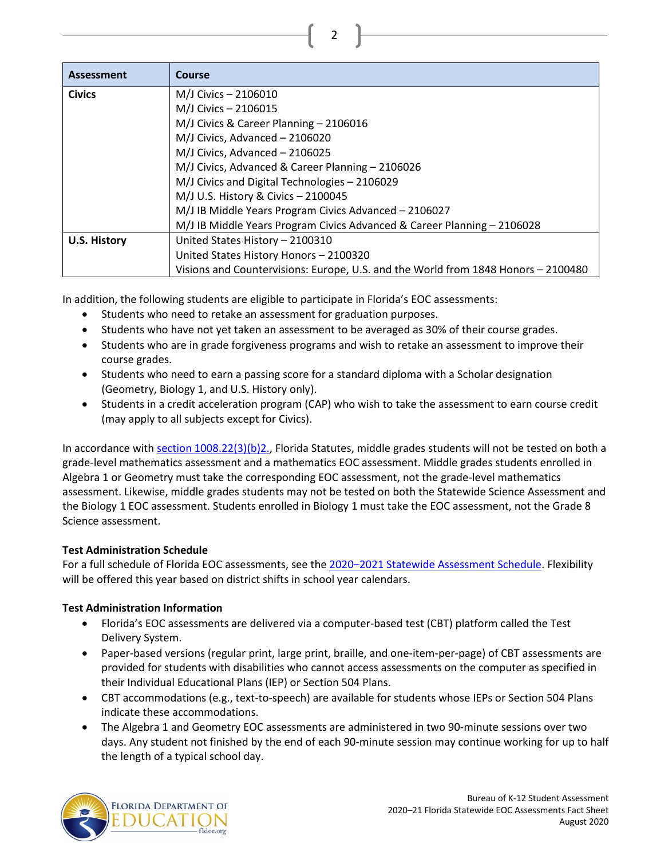| <b>Assessment</b>   | Course                                                                            |
|---------------------|-----------------------------------------------------------------------------------|
| <b>Civics</b>       | M/J Civics - 2106010                                                              |
|                     | M/J Civics - 2106015                                                              |
|                     | M/J Civics & Career Planning - 2106016                                            |
|                     | M/J Civics, Advanced - 2106020                                                    |
|                     | M/J Civics, Advanced - 2106025                                                    |
|                     | M/J Civics, Advanced & Career Planning - 2106026                                  |
|                     | M/J Civics and Digital Technologies - 2106029                                     |
|                     | M/J U.S. History & Civics - 2100045                                               |
|                     | M/J IB Middle Years Program Civics Advanced - 2106027                             |
|                     | M/J IB Middle Years Program Civics Advanced & Career Planning - 2106028           |
| <b>U.S. History</b> | United States History - 2100310                                                   |
|                     | United States History Honors - 2100320                                            |
|                     | Visions and Countervisions: Europe, U.S. and the World from 1848 Honors - 2100480 |

In addition, the following students are eligible to participate in Florida's EOC assessments:

- Students who need to retake an assessment for graduation purposes.
- Students who have not yet taken an assessment to be averaged as 30% of their course grades.
- Students who are in grade forgiveness programs and wish to retake an assessment to improve their course grades.
- Students who need to earn a passing score for a standard diploma with a Scholar designation (Geometry, Biology 1, and U.S. History only).
- Students in a credit acceleration program (CAP) who wish to take the assessment to earn course credit (may apply to all subjects except for Civics).

In accordance wit[h section 1008.22\(3\)\(b\)2.,](http://www.leg.state.fl.us/Statutes/?App_mode=Display_Statute&URL=1000-1099/1008/Sections/1008.22.html) Florida Statutes, middle grades students will not be tested on both a grade-level mathematics assessment and a mathematics EOC assessment. Middle grades students enrolled in Algebra 1 or Geometry must take the corresponding EOC assessment, not the grade-level mathematics assessment. Likewise, middle grades students may not be tested on both the Statewide Science Assessment and the Biology 1 EOC assessment. Students enrolled in Biology 1 must take the EOC assessment, not the Grade 8 Science assessment.

# **Test Administration Schedule**

For a full schedule of Florida EOC assessments, see the 2020-2021 Statewide Assessment Schedule. Flexibility will be offered this year based on district shifts in school year calendars.

# **Test Administration Information**

- Florida's EOC assessments are delivered via a computer-based test (CBT) platform called the Test Delivery System.
- Paper-based versions (regular print, large print, braille, and one-item-per-page) of CBT assessments are provided for students with disabilities who cannot access assessments on the computer as specified in their Individual Educational Plans (IEP) or Section 504 Plans.
- CBT accommodations (e.g., text-to-speech) are available for students whose IEPs or Section 504 Plans indicate these accommodations.
- The Algebra 1 and Geometry EOC assessments are administered in two 90-minute sessions over two days. Any student not finished by the end of each 90-minute session may continue working for up to half the length of a typical school day.

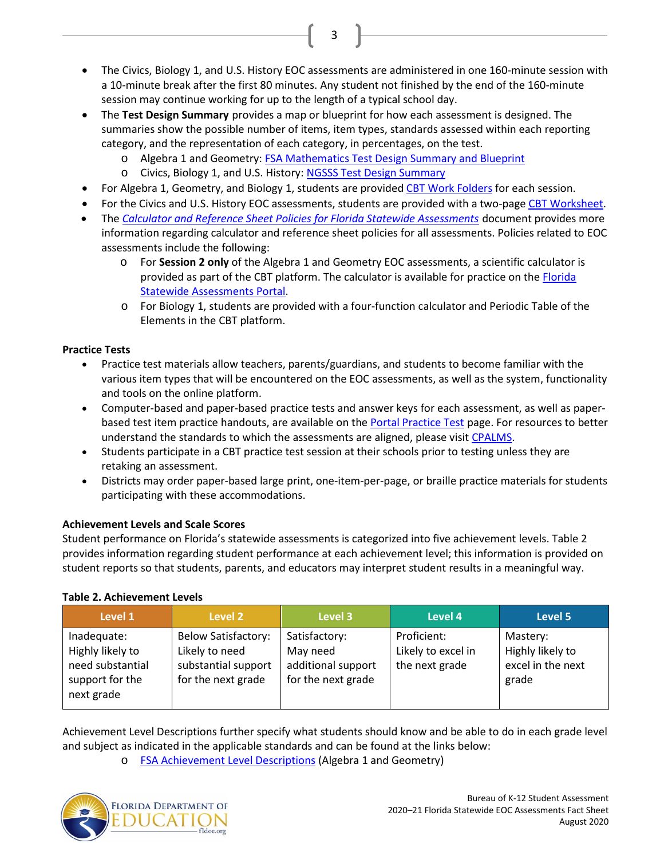• The Civics, Biology 1, and U.S. History EOC assessments are administered in one 160-minute session with a 10-minute break after the first 80 minutes. Any student not finished by the end of the 160-minute session may continue working for up to the length of a typical school day.

3

- The **Test Design Summary** provides a map or blueprint for how each assessment is designed. The summaries show the possible number of items, item types, standards assessed within each reporting category, and the representation of each category, in percentages, on the test.
	- o Algebra 1 and Geometry: [FSA Mathematics Test Design Summary and Blueprint](https://fsassessments.org/core/fileparse.php/3031/urlt/Test-Design-Summary-Mathematics-January-2020_508.pdf)
	- o Civics, Biology 1, and U.S. History[: NGSSS Test Design Summary](http://www.fldoe.org/core/fileparse.php/5662/urlt/NGSSS_TestDesignSummary_Final.pdf)
- For Algebra 1, Geometry, and Biology 1, students are provided [CBT Work Folders](https://fsassessments.org/core/fileparse.php/3031/urlt/CBT-Work-Folder_FW20.pdf) for each session.
- For the Civics and U.S. History EOC assessments, students are provided with a two-pag[e CBT Worksheet.](https://fsassessments.org/core/fileparse.php/3031/urlt/CBT-Worksheet_FW20.pdf)
- The *[Calculator and Reference Sheet Policies for Florida Statewide Assessments](http://www.fldoe.org/core/fileparse.php/5663/urlt/FSACalcRefSheetPolicy.pdf)* document provides more information regarding calculator and reference sheet policies for all assessments. Policies related to EOC assessments include the following:
	- o For **Session 2 only** of the Algebra 1 and Geometry EOC assessments, a scientific calculator is provided as part of the CBT platform. The calculator is available for practice on th[e Florida](http://www.fsassessments.org/)  [Statewide Assessments Portal.](http://www.fsassessments.org/)
	- o For Biology 1, students are provided with a four-function calculator and Periodic Table of the Elements in the CBT platform.

# **Practice Tests**

- Practice test materials allow teachers, parents/guardians, and students to become familiar with the various item types that will be encountered on the EOC assessments, as well as the system, functionality and tools on the online platform.
- Computer-based and paper-based practice tests and answer keys for each assessment, as well as paper-based test item practice handouts, are available on the [Portal Practice Test](https://fsassessments.org/students-and-families/practice-tests/index.stml) page. For resources to better understand the standards to which the assessments are aligned, please visit [CPALMS.](http://www.cpalms.org/Public/)
- Students participate in a CBT practice test session at their schools prior to testing unless they are retaking an assessment.
- Districts may order paper-based large print, one-item-per-page, or braille practice materials for students participating with these accommodations.

# **Achievement Levels and Scale Scores**

Student performance on Florida's statewide assessments is categorized into five achievement levels. Table 2 provides information regarding student performance at each achievement level; this information is provided on student reports so that students, parents, and educators may interpret student results in a meaningful way.

# **Table 2. Achievement Levels**

| Level 1                                                                              | Level 2                                                                                   | Level 3                                                               | Level 4                                             | Level 5                                                    |
|--------------------------------------------------------------------------------------|-------------------------------------------------------------------------------------------|-----------------------------------------------------------------------|-----------------------------------------------------|------------------------------------------------------------|
| Inadequate:<br>Highly likely to<br>need substantial<br>support for the<br>next grade | <b>Below Satisfactory:</b><br>Likely to need<br>substantial support<br>for the next grade | Satisfactory:<br>May need<br>additional support<br>for the next grade | Proficient:<br>Likely to excel in<br>the next grade | Mastery:<br>Highly likely to<br>excel in the next<br>grade |

Achievement Level Descriptions further specify what students should know and be able to do in each grade level and subject as indicated in the applicable standards and can be found at the links below:

o [FSA Achievement Level Descriptions](http://www.fldoe.org/core/fileparse.php/5663/urlt/2015FSARangeSummary.pdf) (Algebra 1 and Geometry)